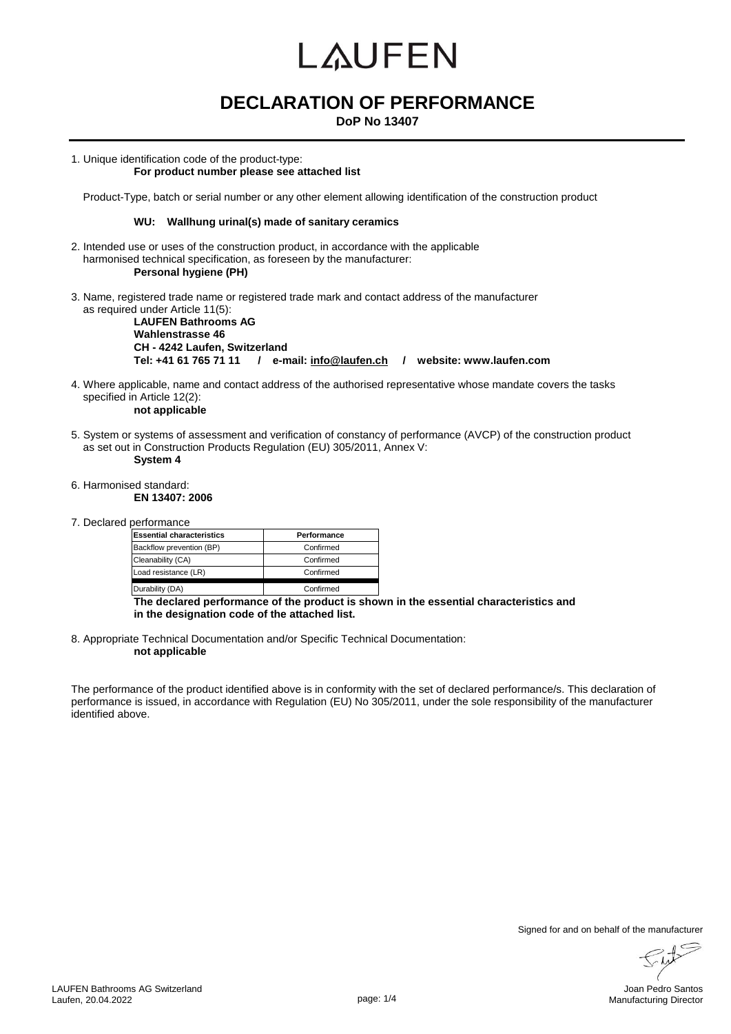### **DECLARATION OF PERFORMANCE**

**DoP No 13407**

1. Unique identification code of the product-type:

#### **For product number please see attached list**

Product-Type, batch or serial number or any other element allowing identification of the construction product

#### **WU: Wallhung urinal(s) made of sanitary ceramics**

- 2. Intended use or uses of the construction product, in accordance with the applicable harmonised technical specification, as foreseen by the manufacturer: **Personal hygiene (PH)**
- 3. Name, registered trade name or registered trade mark and contact address of the manufacturer as required under Article 11(5):

**LAUFEN Bathrooms AG Wahlenstrasse 46 CH - 4242 Laufen, Switzerland Tel: +41 61 765 71 11 / e-mail: info@laufen.ch / website: www.laufen.com**

- 4. Where applicable, name and contact address of the authorised representative whose mandate covers the tasks specified in Article 12(2): **not applicable**
- 5. System or systems of assessment and verification of constancy of performance (AVCP) of the construction product as set out in Construction Products Regulation (EU) 305/2011, Annex V: **System 4**
- 6. Harmonised standard: **EN 13407: 2006**
- 7. Declared performance

| <b>Essential characteristics</b> | Performance |
|----------------------------------|-------------|
| Backflow prevention (BP)         | Confirmed   |
| Cleanability (CA)                | Confirmed   |
| Load resistance (LR)             | Confirmed   |
| Durability (DA)                  | Confirmed   |

**The declared performance of the product is shown in the essential characteristics and in the designation code of the attached list.**

8. Appropriate Technical Documentation and/or Specific Technical Documentation: **not applicable**

The performance of the product identified above is in conformity with the set of declared performance/s. This declaration of performance is issued, in accordance with Regulation (EU) No 305/2011, under the sole responsibility of the manufacturer identified above.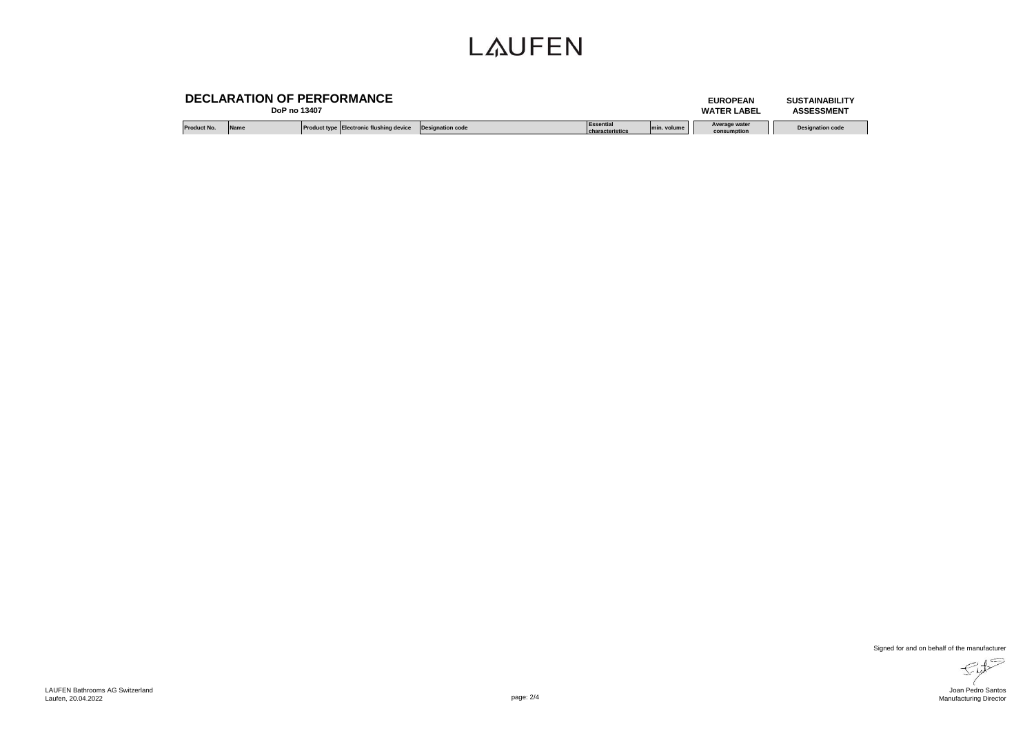|                    | <b>DECLARATION OF PERFORMANCE</b><br>DoP no 13407 |                                                |                         |                              |             | <b>EUROPEAN</b><br><b>WATER LABEL</b> | <b>SUSTAINABILITY</b><br><b>ASSESSMENT</b> |
|--------------------|---------------------------------------------------|------------------------------------------------|-------------------------|------------------------------|-------------|---------------------------------------|--------------------------------------------|
| <b>Product No.</b> | <b>Name</b>                                       | <b>Product type Electronic flushing device</b> | <b>Designation code</b> | Essential<br>characteristics | min. volume | Average water<br>consumption          | <b>Designation code</b>                    |

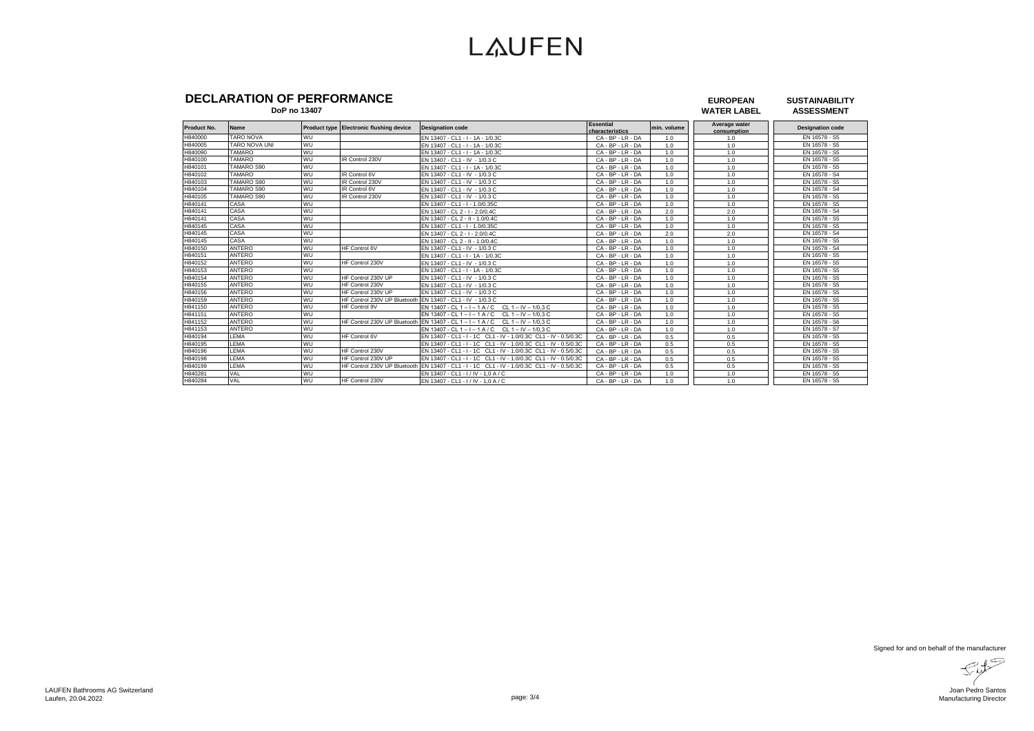**DECLARATION OF PERFORMANCE** 

 **DoP no 13407**

**EUROPEAN WATER LABEL SUSTAINABILITY ASSESSMENT**

| <b>Product No.</b> | Name                 |    | Product type Electronic flushing device | <b>Designation code</b>                                            | <b>Essential</b><br>characteristics | min. volume | Average water<br>consumption | <b>Designation code</b> |
|--------------------|----------------------|----|-----------------------------------------|--------------------------------------------------------------------|-------------------------------------|-------------|------------------------------|-------------------------|
| H840000            | <b>TARO NOVA</b>     | WU |                                         | EN 13407 - CL1 - I - 1A - 1/0.3C                                   | CA - BP - LR - DA                   | 1.0         | 1.0                          | EN 16578 - S5           |
| H840005            | <b>TARO NOVA UNI</b> | WU |                                         | EN 13407 - CL1 - I - 1A - 1/0.3C                                   | CA - BP - LR - DA                   | 1.0         | 1.0                          | EN 16578 - S5           |
| H840090            | <b>TAMARO</b>        | WU |                                         | EN 13407 - CL1 - I - 1A - 1/0.3C                                   | CA-BP-LR-DA                         | 1.0         | 1.0                          | EN 16578 - S5           |
| H840100            | <b>TAMARO</b>        | WU | IR Control 230V                         | EN 13407 - CL1 - IV - 1/0.3 C                                      | CA-BP-LR-DA                         | 1.0         | 1.0                          | EN 16578 - S5           |
| H840101            | TAMARO S90           | WU |                                         | EN 13407 - CL1 - I - 1A - 1/0.3C                                   | CA-BP-LR-DA                         | 1.0         | 1.0                          | EN 16578 - S5           |
| H840102            | <b>TAMARO</b>        | WU | IR Control 6V                           | EN 13407 - CL1 - IV - 1/0.3 C                                      | CA-BP-LR-DA                         | 1.0         | 1.0                          | EN 16578 - S4           |
| H840103            | TAMARO S90           | WU | IR Control 230V                         | EN 13407 - CL1 - IV - 1/0.3 C                                      | CA-BP-LR-DA                         | 1.0         | 1.0                          | EN 16578 - S5           |
| H840104            | TAMARO S90           | WU | IR Control 6V                           | EN 13407 - CL1 - IV - 1/0.3 C                                      | CA-BP-LR-DA                         | 1.0         | 1.0                          | EN 16578 - S4           |
| H840105            | TAMARO S90           | WU | IR Control 230V                         | EN 13407 - CL1 - IV - 1/0.3 C                                      | CA - BP - LR - DA                   | 1.0         | 1.0                          | EN 16578 - S5           |
| H840141            | CASA                 | WU |                                         | EN 13407 - CL1 - I - 1.0/0.35C                                     | CA - BP - LR - DA                   | 1.0         | 1.0                          | EN 16578 - S5           |
| H840141            | CASA                 | WU |                                         | EN 13407 - CL 2 - I - 2.0/0.4C                                     | CA - BP - LR - DA                   | 2.0         | 2.0                          | EN 16578 - S4           |
| H840141            | CASA                 | WU |                                         | EN 13407 - CL 2 - II - 1.0/0.4C                                    | CA - BP - LR - DA                   | 1.0         | 1.0                          | EN 16578 - S5           |
| H840145            | CASA                 | WU |                                         | EN 13407 - CL1 - I - 1.0/0.35C                                     | CA - BP - LR - DA                   | 1.0         | 1.0                          | EN 16578 - S5           |
| H840145            | CASA                 | WU |                                         | EN 13407 - CL 2 - I - 2.0/0.4C                                     | CA - BP - LR - DA                   | 2.0         | 2.0                          | EN 16578 - S4           |
| H840145            | CASA                 | WU |                                         | EN 13407 - CL 2 - II - 1.0/0.4C                                    | CA - BP - LR - DA                   | 1.0         | 1.0                          | EN 16578 - S5           |
| H840150            | <b>ANTERO</b>        | WU | HF Control 6V                           | EN 13407 - CL1 - IV - 1/0.3 C                                      | CA - BP - LR - DA                   | 1.0         | 1.0                          | EN 16578 - S4           |
| H840151            | <b>ANTERO</b>        | WU |                                         | EN 13407 - CL1 - I - 1A - 1/0.3C                                   | CA - BP - LR - DA                   | 1.0         | 1.0                          | EN 16578 - S5           |
| H840152            | ANTERO               | WU | HF Control 230V                         | EN 13407 - CL1 - IV - 1/0.3 C                                      | CA - BP - LR - DA                   | 1.0         | 1.0                          | EN 16578 - S5           |
| H840153            | <b>ANTERO</b>        | WU |                                         | EN 13407 - CL1 - I - 1A - 1/0.3C                                   | CA - BP - LR - DA                   | 1.0         | 1.0                          | EN 16578 - S5           |
| H840154            | ANTERO               | WU | HF Control 230V UP                      | EN 13407 - CL1 - IV - 1/0.3 C                                      | CA - BP - LR - DA                   | 1.0         | 1.0                          | EN 16578 - S5           |
| H840155            | <b>ANTERO</b>        | WU | HF Control 230V                         | EN 13407 - CL1 - IV - 1/0.3 C                                      | CA - BP - LR - DA                   | 1.0         | 1.0                          | EN 16578 - S5           |
| H840156            | <b>ANTERO</b>        | WU | HF Control 230V UP                      | EN 13407 - CL1 - IV - 1/0.3 C                                      | CA - BP - LR - DA                   | 1.0         | 1.0                          | EN 16578 - S5           |
| H840159            | <b>ANTERO</b>        | WU | HF Control 230V UP Bluetooth            | EN 13407 - CL1 - IV - 1/0.3 C                                      | CA - BP - LR - DA                   | 1.0         | 1.0                          | EN 16578 - S5           |
| H841150            | <b>ANTERO</b>        | WU | <b>HF Control 9V</b>                    | $CL 1 - IV - 1/0.3 C$<br>EN 13407 - CL 1 - I - 1 A / C             | CA - BP - LR - DA                   | 1.0         | 1.0                          | EN 16578 - S5           |
| H841151            | <b>ANTERO</b>        | WU |                                         | $FN 13407 - CI 1 - I - 1 A / C$<br>$CL 1 - IV - 1/0.3 C$           | CA - BP - LR - DA                   | 1.0         | 1.0                          | EN 16578 - S5           |
| H841152            | <b>ANTERO</b>        | WU | HF Control 230V UP Bluetooth            | $FN 13407 - CI 1 - I - 1 A / C$<br>$CL 1 - IV - 1/0.3 C$           | $CA - BP - IR - DA$                 | 1.0         | 1.0                          | EN 16578 - S6           |
| H841153            | <b>ANTERO</b>        | WU |                                         | $CL 1 - IV - 1/0.3 C$<br>EN 13407 - CL 1 - I - 1 A / C             | CA - BP - LR - DA                   | 1.0         | 1.0                          | EN 16578 - S7           |
| H840194            | <b>LEMA</b>          | WU | <b>HF Control 6V</b>                    | EN 13407 - CL1 - I - 1C CL1 - IV - 1.0/0.3C CL1 - IV - 0.5/0.3C    | CA - BP - LR - DA                   | 0.5         | 0.5                          | EN 16578 - S5           |
| H840195            | <b>LEMA</b>          | WU |                                         | FN 13407 - CL1 - I - 1C<br>CL1 - IV - 1.0/0.3C CL1 - IV - 0.5/0.3C | CA - BP - LR - DA                   | 0.5         | 0.5                          | EN 16578 - S5           |
| H840196            | <b>LEMA</b>          | WU | HF Control 230V                         | EN 13407 - CL1 - I - 1C CL1 - IV - 1.0/0.3C CL1 - IV - 0.5/0.3C    | CA - BP - LR - DA                   | 0.5         | 0.5                          | EN 16578 - S5           |
| H840198            | LEMA                 | WU | HF Control 230V UP                      | EN 13407 - CL1 - I - 1C CL1 - IV - 1.0/0.3C CL1 - IV - 0.5/0.3C    | CA - BP - LR - DA                   | 0.5         | 0.5                          | EN 16578 - S5           |
| H840199            | LEMA                 | WU | HF Control 230V UP Bluetooth            | EN 13407 - CL1 - I - 1C CL1 - IV - 1.0/0.3C CL1 - IV - 0.5/0.3C    | CA - BP - LR - DA                   | 0.5         | 0.5                          | EN 16578 - S5           |
| H840281            | VAL                  | WU |                                         | EN 13407 - CL1 - I / IV - 1.0 A / C                                | CA - BP - LR - DA                   | 1.0         | 1.0                          | EN 16578 - S5           |
| H840284            | VAL                  | WU | HF Control 230V                         | EN 13407 - CL1 - I / IV - 1.0 A / C                                | CA - BP - LR - DA                   | 1.0         | 1.0                          | EN 16578 - S5           |